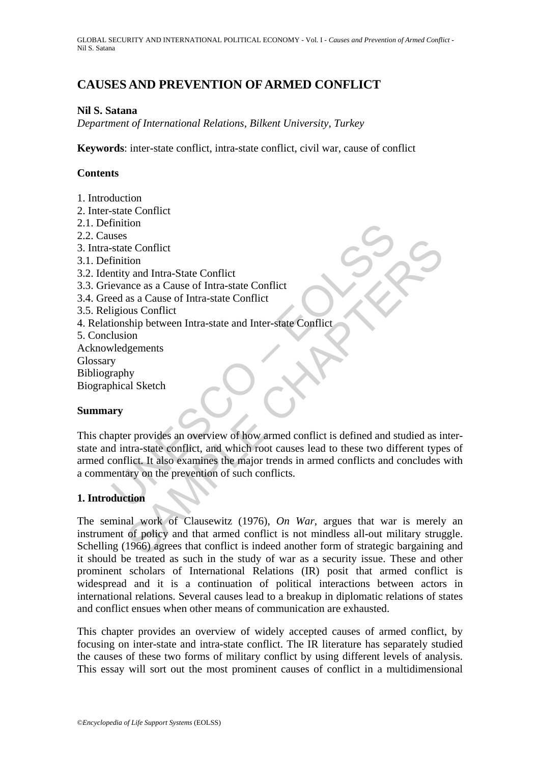# **CAUSES AND PREVENTION OF ARMED CONFLICT**

#### **Nil S. Satana**

*Department of International Relations, Bilkent University, Turkey* 

**Keywords**: inter-state conflict, intra-state conflict, civil war, cause of conflict

## **Contents**

- 1. Introduction
- 2. Inter-state Conflict
- 2.1. Definition
- 2.2. Causes
- 3. Intra-state Conflict
- 3.1. Definition
- 3.2. Identity and Intra-State Conflict
- 3.3. Grievance as a Cause of Intra-state Conflict
- 3.4. Greed as a Cause of Intra-state Conflict
- 3.5. Religious Conflict
- 4. Relationship between Intra-state and Inter-state Conflict
- 5. Conclusion
- Acknowledgements **Glossary** Bibliography Biographical Sketch

### **Summary**

Interior<br>
Suses<br>
state Conflict<br>
Finition<br>
state Conflict<br>
Finition<br>
evance as a Cause of Intra-state Conflict<br>
reconcilient<br>
ionship between Intra-state and Inter-state Conflict<br>
lusion<br>
velogements<br>
y<br>
veraphy<br>
veraphy<br> Solution<br>
or and Intra-State Conflict<br>
as a Cause of Intra-state Conflict<br>
as a Cause of Intra-state Conflict<br>
as a Cause of Intra-state Conflict<br>
ship between Intra-state and Inter-state Conflict<br>
ship between Intra-state This chapter provides an overview of how armed conflict is defined and studied as interstate and intra-state conflict, and which root causes lead to these two different types of armed conflict. It also examines the major trends in armed conflicts and concludes with a commentary on the prevention of such conflicts.

### **1. Introduction**

The seminal work of Clausewitz (1976), *On War*, argues that war is merely an instrument of policy and that armed conflict is not mindless all-out military struggle. Schelling (1966) agrees that conflict is indeed another form of strategic bargaining and it should be treated as such in the study of war as a security issue. These and other prominent scholars of International Relations (IR) posit that armed conflict is widespread and it is a continuation of political interactions between actors in international relations. Several causes lead to a breakup in diplomatic relations of states and conflict ensues when other means of communication are exhausted.

This chapter provides an overview of widely accepted causes of armed conflict, by focusing on inter-state and intra-state conflict. The IR literature has separately studied the causes of these two forms of military conflict by using different levels of analysis. This essay will sort out the most prominent causes of conflict in a multidimensional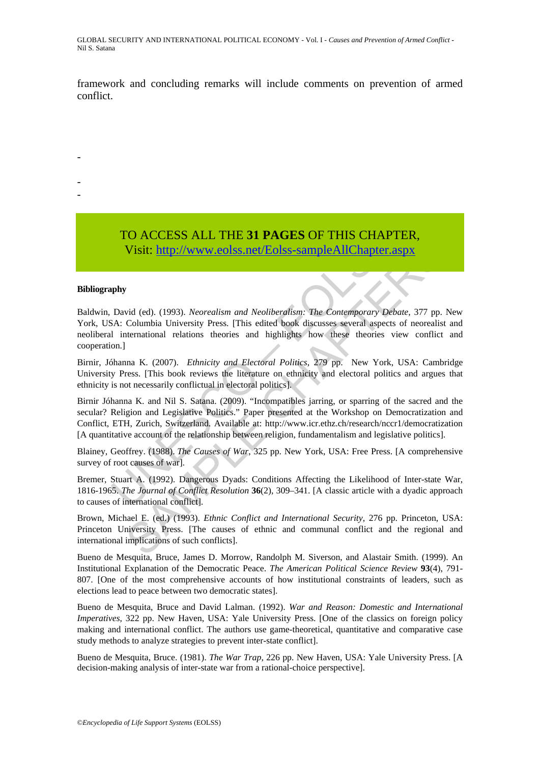framework and concluding remarks will include comments on prevention of armed conflict.

> TO ACCESS ALL THE **31 PAGES** OF THIS CHAPTER, Visit: http://www.eolss.net/Eolss-sampleAllChapter.aspx

#### **Bibliography**

-

- -

Baldwin, David (ed). (1993). *Neorealism and Neoliberalism: The Contemporary Debate*, 377 pp. New York, USA: Columbia University Press. [This edited book discusses several aspects of neorealist and neoliberal international relations theories and highlights how these theories view conflict and cooperation.]

Birnir, Jóhanna K. (2007). *Ethnicity and Electoral Politics*, 279 pp.New York, USA: Cambridge University Press. [This book reviews the literature on ethnicity and electoral politics and argues that ethnicity is not necessarily conflictual in electoral politics].

**TO ACCESS ALL THE 31 PAGES OF THIS CHAPT**<br>Visit: http://www.eolss.net/Eolss-sampleAllChapter.a<br>phy<br>phy<br>David (ed). (1993). *Neorealism and Neoliberalism:* The Contemporary Deb<br>SA: Columbia University Press. [This edited Visit: http://www.eolss.net/Eolss-sampleAllChapter.aspx<br>Visit: http://www.eolss.net/Eolss-sampleAllChapter.aspx<br>wid (ed). (1993). Neorealism and Neoliberalism: The Contemporary Debate, 377 pp.<br>Columbia University Press. [T Birnir Jóhanna K. and Nil S. Satana. (2009). "Incompatibles jarring, or sparring of the sacred and the secular? Religion and Legislative Politics." Paper presented at the Workshop on Democratization and Conflict, ETH, Zurich, Switzerland. Available at: http://www.icr.ethz.ch/research/nccr1/democratization [A quantitative account of the relationship between religion, fundamentalism and legislative politics].

Blainey, Geoffrey. (1988). *The Causes of War*, 325 pp. New York, USA: Free Press. [A comprehensive survey of root causes of war].

Bremer, Stuart A. (1992). Dangerous Dyads: Conditions Affecting the Likelihood of Inter-state War, 1816-1965. *The Journal of Conflict Resolution* **36**(2), 309–341. [A classic article with a dyadic approach to causes of international conflict].

Brown, Michael E. (ed.) (1993). *Ethnic Conflict and International Security*, 276 pp. Princeton, USA: Princeton University Press. [The causes of ethnic and communal conflict and the regional and international implications of such conflicts].

Bueno de Mesquita, Bruce, James D. Morrow, Randolph M. Siverson, and Alastair Smith. (1999). An Institutional Explanation of the Democratic Peace. *The American Political Science Review* **93**(4), 791- 807. [One of the most comprehensive accounts of how institutional constraints of leaders, such as elections lead to peace between two democratic states].

Bueno de Mesquita, Bruce and David Lalman. (1992). *War and Reason: Domestic and International Imperatives*, 322 pp. New Haven, USA: Yale University Press. [One of the classics on foreign policy making and international conflict. The authors use game-theoretical, quantitative and comparative case study methods to analyze strategies to prevent inter-state conflict].

Bueno de Mesquita, Bruce. (1981). *The War Trap*, 226 pp. New Haven, USA: Yale University Press. [A decision-making analysis of inter-state war from a rational-choice perspective].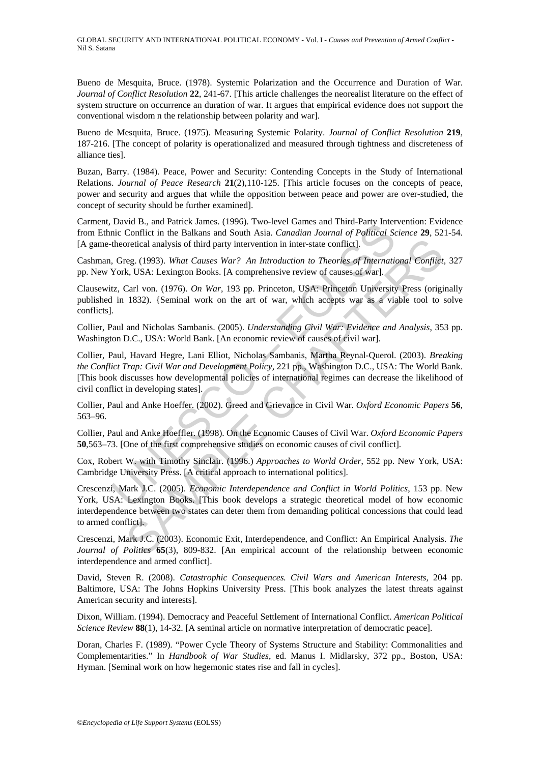Bueno de Mesquita, Bruce. (1978). Systemic Polarization and the Occurrence and Duration of War. *Journal of Conflict Resolution* **22**, 241-67. [This article challenges the neorealist literature on the effect of system structure on occurrence an duration of war. It argues that empirical evidence does not support the conventional wisdom n the relationship between polarity and war].

Bueno de Mesquita, Bruce. (1975). Measuring Systemic Polarity. *Journal of Conflict Resolution* **219**, 187-216. [The concept of polarity is operationalized and measured through tightness and discreteness of alliance ties].

Buzan, Barry. (1984). Peace, Power and Security: Contending Concepts in the Study of International Relations. *Journal of Peace Research* **21**(2),110-125. [This article focuses on the concepts of peace, power and security and argues that while the opposition between peace and power are over-studied, the concept of security should be further examined].

Carment, David B., and Patrick James. (1996). Two-level Games and Third-Party Intervention: Evidence from Ethnic Conflict in the Balkans and South Asia. *Canadian Journal of Political Science* **29**, 521-54. [A game-theoretical analysis of third party intervention in inter-state conflict].

Cashman, Greg. (1993). *What Causes War? An Introduction to Theories of International Conflict*, 327 pp. New York, USA: Lexington Books. [A comprehensive review of causes of war].

Clausewitz, Carl von. (1976). *On War*, 193 pp. Princeton, USA: Princeton University Press (originally published in 1832). {Seminal work on the art of war, which accepts war as a viable tool to solve conflicts].

Collier, Paul and Nicholas Sambanis. (2005). *Understanding Civil War: Evidence and Analysis*, 353 pp. Washington D.C., USA: World Bank. [An economic review of causes of civil war].

David D., and Partick James. (1996). I wo-level Games and Imre-Farty mer<br>Unic Conflict in the Balkans and South Asia. Canadian Journal of Political Sc<br>theoretical analysis of third party intervention in inter-state conflic Collier, Paul, Havard Hegre, Lani Elliot, Nicholas Sambanis, Martha Reynal-Querol. (2003). *Breaking the Conflict Trap: Civil War and Development Policy,* 221 pp., Washington D.C., USA: The World Bank. [This book discusses how developmental policies of international regimes can decrease the likelihood of civil conflict in developing states].

Collier, Paul and Anke Hoeffer. (2002). Greed and Grievance in Civil War. *Oxford Economic Papers* **56**, 563–96.

Collier, Paul and Anke Hoeffler. (1998). On the Economic Causes of Civil War. *Oxford Economic Papers* **50**,563–73. [One of the first comprehensive studies on economic causes of civil conflict].

Cox, Robert W. with Timothy Sinclair. (1996.) *Approaches to World Order*, 552 pp. New York, USA: Cambridge University Press. [A critical approach to international politics].

oretical analysis of third party intervention in inter-state conflict].<br>
reg. (1993). What Causes War? An Introduction to Theories of International Conflict<br>
k, USA: Lexington Books. [A comprehensive review of causes of wa Crescenzi, Mark J.C. (2005). *Economic Interdependence and Conflict in World Politics*, 153 pp. New York, USA: Lexington Books. [This book develops a strategic theoretical model of how economic interdependence between two states can deter them from demanding political concessions that could lead to armed conflict].

Crescenzi, Mark J.C. (2003). Economic Exit, Interdependence, and Conflict: An Empirical Analysis. *The Journal of Politics* **65**(3), 809-832. [An empirical account of the relationship between economic interdependence and armed conflict].

David, Steven R. (2008). *Catastrophic Consequences. Civil Wars and American Interests*, 204 pp. Baltimore, USA: The Johns Hopkins University Press. [This book analyzes the latest threats against American security and interests].

Dixon, William. (1994). Democracy and Peaceful Settlement of International Conflict. *American Political Science Review* **88**(1), 14-32. [A seminal article on normative interpretation of democratic peace].

Doran, Charles F. (1989). "Power Cycle Theory of Systems Structure and Stability: Commonalities and Complementarities." In *Handbook of War Studies*, ed. Manus I. Midlarsky, 372 pp., Boston, USA: Hyman. [Seminal work on how hegemonic states rise and fall in cycles].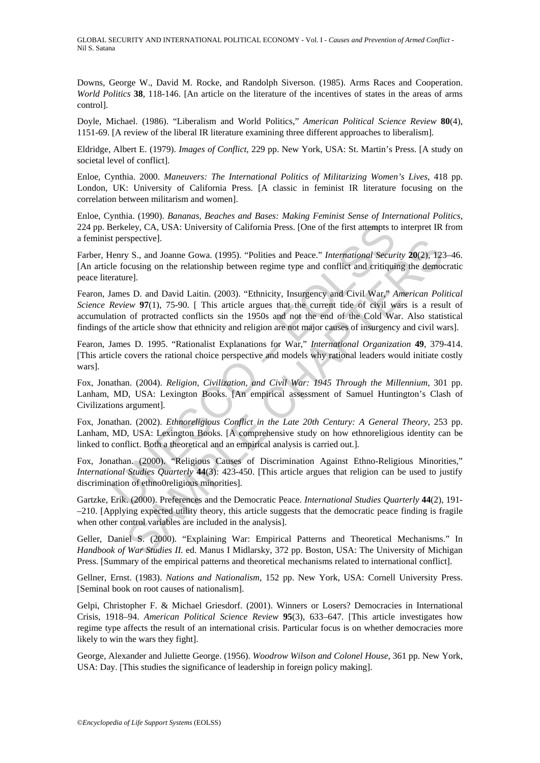Downs, George W., David M. Rocke, and Randolph Siverson. (1985). Arms Races and Cooperation. *World Politics* **38**, 118-146. [An article on the literature of the incentives of states in the areas of arms control].

Doyle, Michael. (1986). "Liberalism and World Politics," *American Political Science Review* **80**(4), 1151-69. [A review of the liberal IR literature examining three different approaches to liberalism].

Eldridge, Albert E. (1979). *Images of Conflict*, 229 pp. New York, USA: St. Martin's Press. [A study on societal level of conflict].

Enloe, Cynthia. 2000. *Maneuvers: The International Politics of Militarizing Women's Lives*, 418 pp. London, UK: University of California Press. [A classic in feminist IR literature focusing on the correlation between militarism and women].

Enloe, Cynthia. (1990). *Bananas, Beaches and Bases: Making Feminist Sense of International Politics*, 224 pp. Berkeley, CA, USA: University of California Press. [One of the first attempts to interpret IR from a feminist perspective].

Farber, Henry S., and Joanne Gowa. (1995). "Polities and Peace." *International Security* **20**(2), 123–46. [An article focusing on the relationship between regime type and conflict and critiquing the democratic peace literature].

Berkeley, CA, USA: University of California Press. [One of the first attempts to terspective].<br>
terrspective].<br>
Henry S., and Joanne Gowa. (1995). "Polities and Peace." *International Secure*<br>
fectosing on the relationship rspective].<br>
SS a., and Joanne Gowa. (1995). "Polities and Peace." *International Security* 20(2), 12<br>
S. c., and David Laitin. (2003). "Ethnicity, Insurgency and Civil War," *American Political*<br>
review 97(1), 75-90. [Thi Fearon, James D. and David Laitin. (2003). "Ethnicity, Insurgency and Civil War," *American Political Science Review* **97**(1), 75-90. [ This article argues that the current tide of civil wars is a result of accumulation of protracted conflicts sin the 1950s and not the end of the Cold War. Also statistical findings of the article show that ethnicity and religion are not major causes of insurgency and civil wars].

Fearon, James D. 1995. "Rationalist Explanations for War," *International Organization* **49**, 379-414. [This article covers the rational choice perspective and models why rational leaders would initiate costly wars].

Fox, Jonathan. (2004). *Religion, Civilization, and Civil War: 1945 Through the Millennium*, 301 pp. Lanham, MD, USA: Lexington Books. [An empirical assessment of Samuel Huntington's Clash of Civilizations argument].

Fox, Jonathan. (2002). *Ethnoreligious Conflict in the Late 20th Century: A General Theory*, 253 pp. Lanham, MD, USA: Lexington Books. [A comprehensive study on how ethnoreligious identity can be linked to conflict. Both a theoretical and an empirical analysis is carried out.].

Fox, Jonathan. (2000). "Religious Causes of Discrimination Against Ethno-Religious Minorities," *International Studies Quarterly* **44**(3): 423-450. [This article argues that religion can be used to justify discrimination of ethno0religious minorities].

Gartzke, Erik. (2000). Preferences and the Democratic Peace. *International Studies Quarterly* **44**(2), 191- –210. [Applying expected utility theory, this article suggests that the democratic peace finding is fragile when other control variables are included in the analysis].

Geller, Daniel S. (2000). "Explaining War: Empirical Patterns and Theoretical Mechanisms." In *Handbook of War Studies II.* ed. Manus I Midlarsky, 372 pp. Boston, USA: The University of Michigan Press. [Summary of the empirical patterns and theoretical mechanisms related to international conflict].

Gellner, Ernst. (1983). *Nations and Nationalism*, 152 pp. New York, USA: Cornell University Press. [Seminal book on root causes of nationalism].

Gelpi, Christopher F. & Michael Griesdorf. (2001). Winners or Losers? Democracies in International Crisis, 1918–94. *American Political Science Review* **95**(3), 633–647. [This article investigates how regime type affects the result of an international crisis. Particular focus is on whether democracies more likely to win the wars they fight].

George, Alexander and Juliette George. (1956). *Woodrow Wilson and Colonel House*, 361 pp. New York, USA: Day. [This studies the significance of leadership in foreign policy making].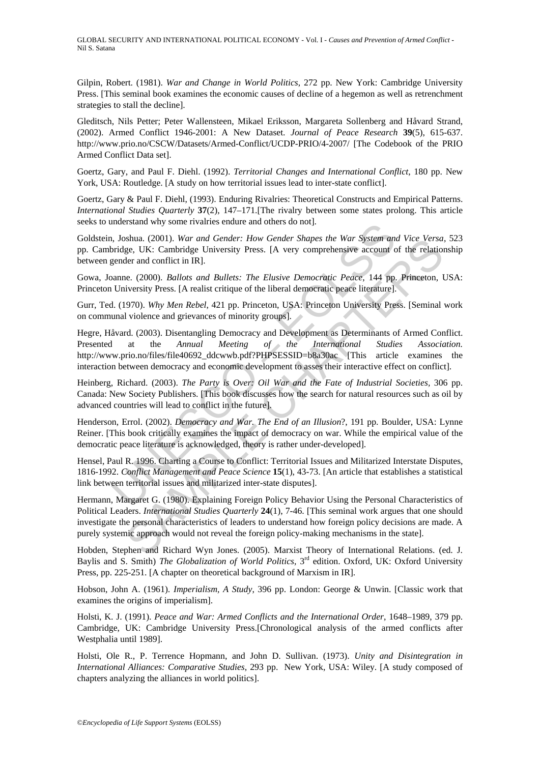Gilpin, Robert. (1981). *War and Change in World Politics*, 272 pp. New York: Cambridge University Press. [This seminal book examines the economic causes of decline of a hegemon as well as retrenchment strategies to stall the decline].

Gleditsch, Nils Petter; Peter Wallensteen, Mikael Eriksson, Margareta Sollenberg and Håvard Strand, (2002). Armed Conflict 1946-2001: A New Dataset. *Journal of Peace Research* **39**(5), 615-637. http://www.prio.no/CSCW/Datasets/Armed-Conflict/UCDP-PRIO/4-2007/ [The Codebook of the PRIO Armed Conflict Data set].

Goertz, Gary, and Paul F. Diehl. (1992). *Territorial Changes and International Conflict*, 180 pp. New York, USA: Routledge. [A study on how territorial issues lead to inter-state conflict].

Goertz, Gary & Paul F. Diehl, (1993). Enduring Rivalries: Theoretical Constructs and Empirical Patterns. *International Studies Quarterly* **37**(2), 147–171.[The rivalry between some states prolong. This article seeks to understand why some rivalries endure and others do not].

Goldstein, Joshua. (2001). *War and Gender: How Gender Shapes the War System and Vice Versa*, 523 pp. Cambridge, UK: Cambridge University Press. [A very comprehensive account of the relationship between gender and conflict in IR].

Gowa, Joanne. (2000). *Ballots and Bullets: The Elusive Democratic Peace*, 144 pp. Princeton, USA: Princeton University Press. [A realist critique of the liberal democratic peace literature].

Gurr, Ted. (1970). *Why Men Rebel*, 421 pp. Princeton, USA: Princeton University Press. [Seminal work on communal violence and grievances of minority groups].

inderstand why some rivaines endure and oners do not].<br>
I, Joshua. (2001). War and Gender: How Gender Shapes the War System and Gender. How Gender Shapes the War System and enders account c enders and Collibristic Press. [ Shalla (2001). War and Gender: How Gender Shapes the War and Vice Versare and Vice Versare get, UK: Cambridge University Press. [A very comprehensive account of the relation-<br>ler and conflict in IR].<br>
Le. (2000). *Ballots* Hegre, Håvard. (2003). Disentangling Democracy and Development as Determinants of Armed Conflict. Presented at the *Annual Meeting of the International Studies Association.* http://www.prio.no/files/file40692\_ddcwwb.pdf?PHPSESSID=b8a30ac [This article examines the interaction between democracy and economic development to asses their interactive effect on conflict].

Heinberg, Richard. (2003). *The Party is Over: Oil War and the Fate of Industrial Societies,* 306 pp. Canada: New Society Publishers. [This book discusses how the search for natural resources such as oil by advanced countries will lead to conflict in the future].

Henderson, Errol. (2002). *Democracy and War. The End of an Illusion*?, 191 pp. Boulder, USA: Lynne Reiner. [This book critically examines the impact of democracy on war. While the empirical value of the democratic peace literature is acknowledged, theory is rather under-developed].

Hensel, Paul R. 1996. Charting a Course to Conflict: Territorial Issues and Militarized Interstate Disputes, 1816-1992. *Conflict Management and Peace Science* **15**(1), 43-73. [An article that establishes a statistical link between territorial issues and militarized inter-state disputes].

Hermann, Margaret G. (1980). Explaining Foreign Policy Behavior Using the Personal Characteristics of Political Leaders. *International Studies Quarterly* **24**(1), 7-46. [This seminal work argues that one should investigate the personal characteristics of leaders to understand how foreign policy decisions are made. A purely systemic approach would not reveal the foreign policy-making mechanisms in the state].

Hobden, Stephen and Richard Wyn Jones. (2005). Marxist Theory of International Relations. (ed. J. Baylis and S. Smith) *The Globalization of World Politics*, 3rd edition. Oxford, UK: Oxford University Press, pp. 225-251. [A chapter on theoretical background of Marxism in IR].

Hobson, John A. (1961). *Imperialism, A Study*, 396 pp. London: George & Unwin. [Classic work that examines the origins of imperialism].

Holsti, K. J. (1991). *Peace and War: Armed Conflicts and the International Order*, 1648–1989, 379 pp. Cambridge, UK: Cambridge University Press.[Chronological analysis of the armed conflicts after Westphalia until 1989].

Holsti, Ole R., P. Terrence Hopmann, and John D. Sullivan. (1973). *Unity and Disintegration in International Alliances: Comparative Studies*, 293 pp. New York, USA: Wiley. [A study composed of chapters analyzing the alliances in world politics].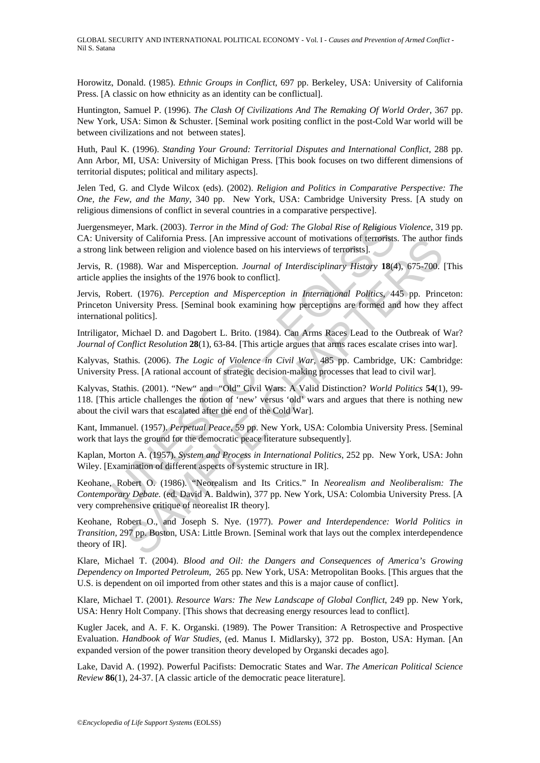Horowitz, Donald. (1985). *Ethnic Groups in Conflict*, 697 pp. Berkeley, USA: University of California Press. [A classic on how ethnicity as an identity can be conflictual].

Huntington, Samuel P. (1996). *The Clash Of Civilizations And The Remaking Of World Order*, 367 pp. New York, USA: Simon & Schuster. [Seminal work positing conflict in the post-Cold War world will be between civilizations and not between states].

Huth, Paul K. (1996). *Standing Your Ground: Territorial Disputes and International Conflict*, 288 pp. Ann Arbor, MI, USA: University of Michigan Press. [This book focuses on two different dimensions of territorial disputes; political and military aspects].

Jelen Ted, G. and Clyde Wilcox (eds). (2002). *Religion and Politics in Comparative Perspective: The One, the Few, and the Many*, 340 pp. New York, USA: Cambridge University Press. [A study on religious dimensions of conflict in several countries in a comparative perspective].

Juergensmeyer, Mark. (2003). *Terror in the Mind of God: The Global Rise of Religious Violence*, 319 pp. CA: University of California Press. [An impressive account of motivations of terrorists. The author finds a strong link between religion and violence based on his interviews of terrorists].

Jervis, R. (1988). War and Misperception. *Journal of Interdisciplinary History* **18**(4), 675-700. [This article applies the insights of the 1976 book to conflict].

meyer, Mark. (2003). *Terror in the Mind of God: The Global Rise of Religious*<br>versity of California Press. [An impressive account of motivations of terrorists].<br>
(1988). War and Misperception. *Journal of Interdisciplinar* IV and Transmitters. [An impressive account of motivations of terrorists. In eauthor<br>between religion and violence based on his interviews of terrorists].<br>SAMPLE by the maights of the 1976 book to conflict].<br>SAMPLE CHAPTE Jervis, Robert. (1976). *Perception and Misperception in International Politics*, 445 pp. Princeton: Princeton University Press. [Seminal book examining how perceptions are formed and how they affect international politics].

Intriligator, Michael D. and Dagobert L. Brito. (1984). Can Arms Races Lead to the Outbreak of War? *Journal of Conflict Resolution* **28**(1), 63-84. [This article argues that arms races escalate crises into war].

Kalyvas, Stathis. (2006). *The Logic of Violence in Civil War*, 485 pp. Cambridge, UK: Cambridge: University Press. [A rational account of strategic decision-making processes that lead to civil war].

Kalyvas, Stathis. (2001). "New" and "Old" Civil Wars: A Valid Distinction? *World Politics* **54**(1), 99- 118. [This article challenges the notion of 'new' versus 'old' wars and argues that there is nothing new about the civil wars that escalated after the end of the Cold War].

Kant, Immanuel. (1957). *Perpetual Peace*, 59 pp. New York, USA: Colombia University Press. [Seminal work that lays the ground for the democratic peace literature subsequently].

Kaplan, Morton A. (1957). *System and Process in International Politics*, 252 pp. New York, USA: John Wiley. [Examination of different aspects of systemic structure in IR].

Keohane, Robert O. (1986). "Neorealism and Its Critics." In *Neorealism and Neoliberalism: The Contemporary Debate.* (ed. David A. Baldwin), 377 pp. New York, USA: Colombia University Press. [A very comprehensive critique of neorealist IR theory].

Keohane, Robert O., and Joseph S. Nye. (1977). *Power and Interdependence: World Politics in Transition,* 297 pp. Boston, USA: Little Brown. [Seminal work that lays out the complex interdependence theory of IR].

Klare, Michael T. (2004). *Blood and Oil: the Dangers and Consequences of America's Growing Dependency on Imported Petroleum,* 265 pp. New York, USA: Metropolitan Books. [This argues that the U.S. is dependent on oil imported from other states and this is a major cause of conflict].

Klare, Michael T. (2001). *Resource Wars: The New Landscape of Global Conflict*, 249 pp. New York, USA: Henry Holt Company. [This shows that decreasing energy resources lead to conflict].

Kugler Jacek, and A. F. K. Organski. (1989). The Power Transition: A Retrospective and Prospective Evaluation. *Handbook of War Studies*, (ed. Manus I. Midlarsky), 372 pp. Boston, USA: Hyman. [An expanded version of the power transition theory developed by Organski decades ago].

Lake, David A. (1992). Powerful Pacifists: Democratic States and War. *The American Political Science Review* **86**(1), 24-37. [A classic article of the democratic peace literature].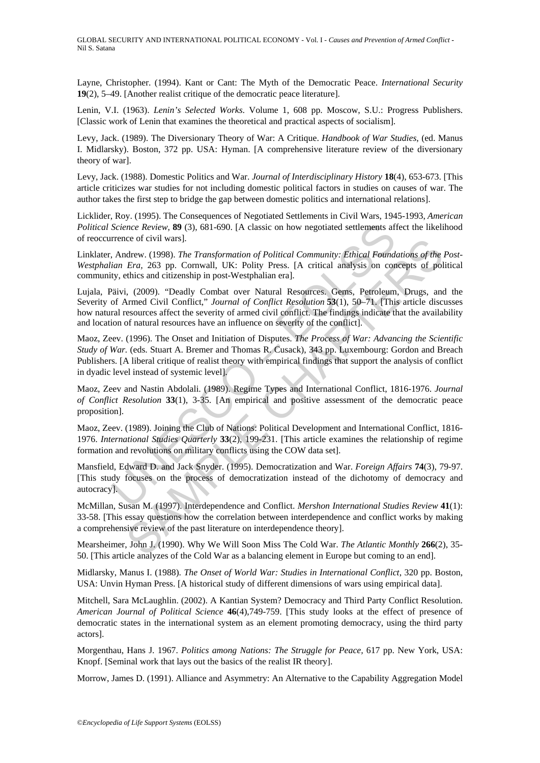Layne, Christopher. (1994). Kant or Cant: The Myth of the Democratic Peace. *International Security* **19**(2), 5–49. [Another realist critique of the democratic peace literature].

Lenin, V.I. (1963). *Lenin's Selected Works*. Volume 1, 608 pp. Moscow, S.U.: Progress Publishers. [Classic work of Lenin that examines the theoretical and practical aspects of socialism].

Levy, Jack. (1989). The Diversionary Theory of War: A Critique. *Handbook of War Studies*, (ed. Manus I. Midlarsky). Boston, 372 pp. USA: Hyman. [A comprehensive literature review of the diversionary theory of war].

Levy, Jack. (1988). Domestic Politics and War. *Journal of Interdisciplinary History* **18**(4), 653-673. [This article criticizes war studies for not including domestic political factors in studies on causes of war. The author takes the first step to bridge the gap between domestic politics and international relations].

Licklider, Roy. (1995). The Consequences of Negotiated Settlements in Civil Wars, 1945-1993, *American Political Science Review*, **89** (3), 681-690. [A classic on how negotiated settlements affect the likelihood of reoccurrence of civil wars].

Linklater, Andrew. (1998). *The Transformation of Political Community: Ethical Foundations of the Post-Westphalian Era,* 263 pp. Cornwall, UK: Polity Press. [A critical analysis on concepts of political community, ethics and citizenship in post-Westphalian era].

Lujala, Päivi, (2009). "Deadly Combat over Natural Resources. Gems, Petroleum, Drugs, and the Severity of Armed Civil Conflict," *Journal of Conflict Resolution* **53**(1), 50–71. [This article discusses how natural resources affect the severity of armed civil conflict. The findings indicate that the availability and location of natural resources have an influence on severity of the conflict].

Science Review, **89** (3), 681-690. [A classic on how negotiated settlements af<br>rence of civil wars].<br>Andrew. (1998). The Transformation of Political Community: Ethical Found<br>ian Era, 263 pp. Cornwall, UK: Polity Press. [A ice of civil wars].<br>
Leta, 263 pp. Cornwall, UK: Political Community: *Ethical Foundations of the*<br>
Leta, 263 pp. Cornwall, UK: Polity Press. [A critical analysis on concepts of politics and citizenship in post-Westphalian Maoz, Zeev. (1996). The Onset and Initiation of Disputes. *The Process of War: Advancing the Scientific Study of War.* (eds. Stuart A. Bremer and Thomas R. Cusack), 343 pp. Luxembourg: Gordon and Breach Publishers. [A liberal critique of realist theory with empirical findings that support the analysis of conflict in dyadic level instead of systemic level].

Maoz, Zeev and Nastin Abdolali. (1989). Regime Types and International Conflict, 1816-1976. *Journal of Conflict Resolution* **33**(1), 3-35. [An empirical and positive assessment of the democratic peace proposition].

Maoz, Zeev. (1989). Joining the Club of Nations: Political Development and International Conflict, 1816- 1976. *International Studies Quarterly* **33**(2), 199-231. [This article examines the relationship of regime formation and revolutions on military conflicts using the COW data set].

Mansfield, Edward D. and Jack Snyder. (1995). Democratization and War. *Foreign Affairs* **74**(3), 79-97. [This study focuses on the process of democratization instead of the dichotomy of democracy and autocracy].

McMillan, Susan M. (1997). Interdependence and Conflict. *Mershon International Studies Review* **41**(1): 33-58. [This essay questions how the correlation between interdependence and conflict works by making a comprehensive review of the past literature on interdependence theory].

Mearsheimer, John J. (1990). Why We Will Soon Miss The Cold War. *The Atlantic Monthly* **266**(2), 35- 50. [This article analyzes of the Cold War as a balancing element in Europe but coming to an end].

Midlarsky, Manus I. (1988). *The Onset of World War: Studies in International Conflict*, 320 pp. Boston, USA: Unvin Hyman Press. [A historical study of different dimensions of wars using empirical data].

Mitchell, Sara McLaughlin. (2002). A Kantian System? Democracy and Third Party Conflict Resolution. *American Journal of Political Science* **46**(4),749-759. [This study looks at the effect of presence of democratic states in the international system as an element promoting democracy, using the third party actors].

Morgenthau, Hans J. 1967. *Politics among Nations: The Struggle for Peace,* 617 pp. New York, USA: Knopf. [Seminal work that lays out the basics of the realist IR theory].

Morrow, James D. (1991). Alliance and Asymmetry: An Alternative to the Capability Aggregation Model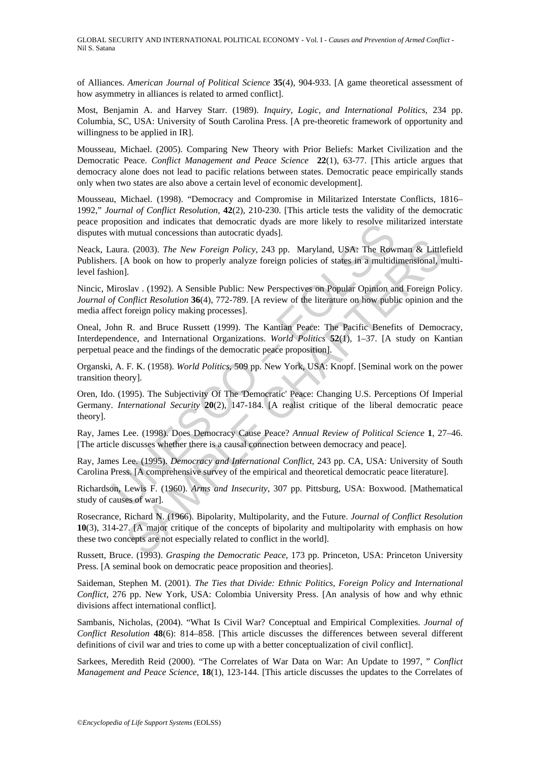of Alliances. *American Journal of Political Science* **35**(4), 904-933. [A game theoretical assessment of how asymmetry in alliances is related to armed conflict].

Most, Benjamin A. and Harvey Starr. (1989). *Inquiry, Logic, and International Politics,* 234 pp. Columbia, SC, USA: University of South Carolina Press. [A pre-theoretic framework of opportunity and willingness to be applied in IR].

Mousseau, Michael. (2005). Comparing New Theory with Prior Beliefs: Market Civilization and the Democratic Peace. *Conflict Management and Peace Science* **22**(1), 63-77. [This article argues that democracy alone does not lead to pacific relations between states. Democratic peace empirically stands only when two states are also above a certain level of economic development].

Mousseau, Michael. (1998). "Democracy and Compromise in Militarized Interstate Conflicts, 1816– 1992," *Journal of Conflict Resolution*, **42**(2), 210-230. [This article tests the validity of the democratic peace proposition and indicates that democratic dyads are more likely to resolve militarized interstate disputes with mutual concessions than autocratic dyads].

ppsision and intendents that defined and the direct divisal are more interpretent and multid concessions than autocratic dyals].<br>
aura. (2003). The New Foreign Policy, 243 pp. Maryland, USA: The Row<br>
s. [A book on how to p a. (2003). The New Foreign Policy, 243 pp. Maryland, USA: The Rowman & Little A book on how to properly analyze foreign policies of states in a multidimensional, n<br>
1.<br>
A book on how to properly analyze foreign policies o Neack, Laura. (2003). *The New Foreign Policy*, 243 pp. Maryland, USA: The Rowman & Littlefield Publishers. [A book on how to properly analyze foreign policies of states in a multidimensional, multilevel fashion].

Nincic, Miroslav . (1992). A Sensible Public: New Perspectives on Popular Opinion and Foreign Policy. *Journal of Conflict Resolution* **36**(4), 772-789. [A review of the literature on how public opinion and the media affect foreign policy making processes].

Oneal, John R. and Bruce Russett (1999). The Kantian Peace: The Pacific Benefits of Democracy, Interdependence, and International Organizations. *World Politics* **52**(1), 1–37. [A study on Kantian perpetual peace and the findings of the democratic peace proposition].

Organski, A. F. K. (1958). *World Politics,* 509 pp. New York, USA: Knopf. [Seminal work on the power transition theory].

Oren, Ido. (1995). The Subjectivity Of The 'Democratic' Peace: Changing U.S. Perceptions Of Imperial Germany. *International Security* **20**(2), 147-184. [A realist critique of the liberal democratic peace theory].

Ray, James Lee. (1998). Does Democracy Cause Peace? *Annual Review of Political Science* **1**, 27–46. [The article discusses whether there is a causal connection between democracy and peace].

Ray, James Lee. (1995). *Democracy and International Conflict,* 243 pp. CA, USA: University of South Carolina Press. [A comprehensive survey of the empirical and theoretical democratic peace literature].

Richardson, Lewis F. (1960). *Arms and Insecurity*, 307 pp. Pittsburg, USA: Boxwood. [Mathematical study of causes of war].

Rosecrance, Richard N. (1966). Bipolarity, Multipolarity, and the Future. *Journal of Conflict Resolution* **10**(3), 314-27. [A major critique of the concepts of bipolarity and multipolarity with emphasis on how these two concepts are not especially related to conflict in the world].

Russett, Bruce. (1993). *Grasping the Democratic Peace*, 173 pp. Princeton, USA: Princeton University Press. [A seminal book on democratic peace proposition and theories].

Saideman, Stephen M. (2001). *The Ties that Divide: Ethnic Politics, Foreign Policy and International Conflict,* 276 pp. New York, USA: Colombia University Press. [An analysis of how and why ethnic divisions affect international conflict].

Sambanis, Nicholas, (2004). "What Is Civil War? Conceptual and Empirical Complexities. *Journal of Conflict Resolution* **48**(6): 814–858. [This article discusses the differences between several different definitions of civil war and tries to come up with a better conceptualization of civil conflict].

Sarkees, Meredith Reid (2000). "The Correlates of War Data on War: An Update to 1997, " *Conflict Management and Peace Science*, **18**(1), 123-144. [This article discusses the updates to the Correlates of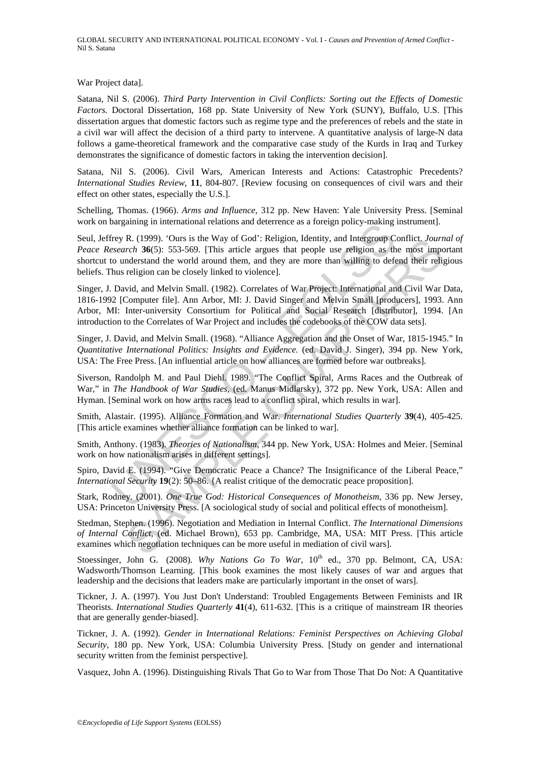War Project data].

Satana, Nil S. (2006). *Third Party Intervention in Civil Conflicts: Sorting out the Effects of Domestic Factors.* Doctoral Dissertation, 168 pp. State University of New York (SUNY), Buffalo, U.S. [This dissertation argues that domestic factors such as regime type and the preferences of rebels and the state in a civil war will affect the decision of a third party to intervene. A quantitative analysis of large-N data follows a game-theoretical framework and the comparative case study of the Kurds in Iraq and Turkey demonstrates the significance of domestic factors in taking the intervention decision].

Satana, Nil S. (2006). Civil Wars, American Interests and Actions: Catastrophic Precedents? *International Studies Review*, **11**, 804-807. [Review focusing on consequences of civil wars and their effect on other states, especially the U.S.].

Schelling, Thomas. (1966). *Arms and Influence*, 312 pp. New Haven: Yale University Press. [Seminal work on bargaining in international relations and deterrence as a foreign policy-making instrument].

being in international relations and determine as a foreign poincy-making<br>riey R, (1999). 'Ours is the Way of God': Religion, Identity, and Intergroup C<br>essearch 36(5): S53-569. [This article argues that people use religio Seul, Jeffrey R. (1999). 'Ours is the Way of God': Religion, Identity, and Intergroup Conflict. *Journal of Peace Research* **36**(5): 553-569. [This article argues that people use religion as the most important shortcut to understand the world around them, and they are more than willing to defend their religious beliefs. Thus religion can be closely linked to violence].

K. (1999). Ours is the Way of God': Reigon, latenty, and Intergroup Contict. *Fourny*<br>
Fr.ch **36**(5): 535-569. [This article argues that people use religion as the most impedents<br>and the world around them, and they are mo Singer, J. David, and Melvin Small. (1982). Correlates of War Project: International and Civil War Data, 1816-1992 [Computer file]. Ann Arbor, MI: J. David Singer and Melvin Small [producers], 1993. Ann Arbor, MI: Inter-university Consortium for Political and Social Research [distributor], 1994. [An introduction to the Correlates of War Project and includes the codebooks of the COW data sets].

Singer, J. David, and Melvin Small. (1968). "Alliance Aggregation and the Onset of War, 1815-1945." In *Quantitative International Politics: Insights and Evidence.* (ed. David J. Singer), 394 pp. New York, USA: The Free Press. [An influential article on how alliances are formed before war outbreaks].

Siverson, Randolph M. and Paul Diehl. 1989. "The Conflict Spiral, Arms Races and the Outbreak of War," in *The Handbook of War Studies,* (ed. Manus Midlarsky), 372 pp. New York, USA: Allen and Hyman. [Seminal work on how arms races lead to a conflict spiral, which results in war].

Smith, Alastair. (1995). Alliance Formation and War. *International Studies Quarterly* **39**(4), 405-425. [This article examines whether alliance formation can be linked to war].

Smith, Anthony. (1983). *Theories of Nationalism*, 344 pp. New York, USA: Holmes and Meier. [Seminal work on how nationalism arises in different settings].

Spiro, David E. (1994). "Give Democratic Peace a Chance? The Insignificance of the Liberal Peace," *International Security* **19**(2): 50–86. {A realist critique of the democratic peace proposition].

Stark, Rodney. (2001). *One True God: Historical Consequences of Monotheism*, 336 pp. New Jersey, USA: Princeton University Press. [A sociological study of social and political effects of monotheism].

Stedman, Stephen. (1996). Negotiation and Mediation in Internal Conflict. *The International Dimensions of Internal Conflict*, (ed. Michael Brown), 653 pp. Cambridge, MA, USA: MIT Press. [This article examines which negotiation techniques can be more useful in mediation of civil wars].

Stoessinger, John G. (2008). *Why Nations Go To War*,  $10<sup>th</sup>$  ed., 370 pp. Belmont, CA, USA: Wadsworth/Thomson Learning. [This book examines the most likely causes of war and argues that leadership and the decisions that leaders make are particularly important in the onset of wars].

Tickner, J. A. (1997). You Just Don't Understand: Troubled Engagements Between Feminists and IR Theorists. *International Studies Quarterly* **41**(4), 611-632. [This is a critique of mainstream IR theories that are generally gender-biased].

Tickner, J. A. (1992). *Gender in International Relations: Feminist Perspectives on Achieving Global Security*, 180 pp. New York, USA: Columbia University Press. [Study on gender and international security written from the feminist perspective].

Vasquez, John A. (1996). Distinguishing Rivals That Go to War from Those That Do Not: A Quantitative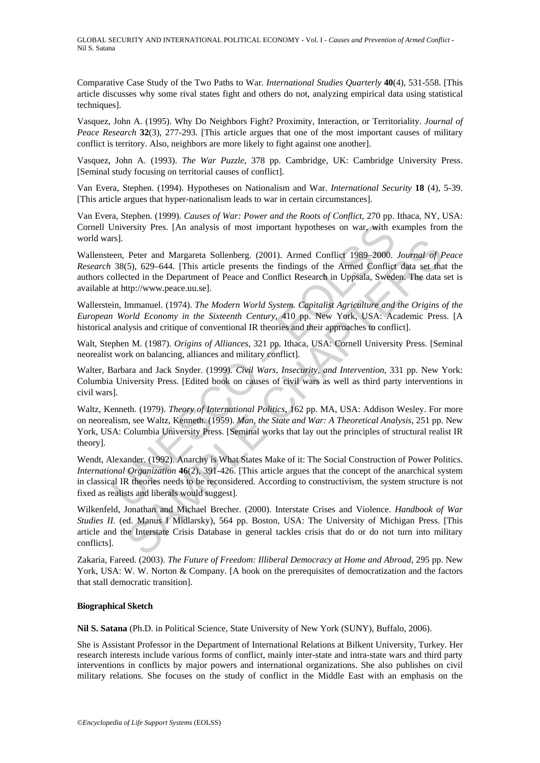Comparative Case Study of the Two Paths to War. *International Studies Quarterly* **40**(4), 531-558. [This article discusses why some rival states fight and others do not, analyzing empirical data using statistical techniques].

Vasquez, John A. (1995). Why Do Neighbors Fight? Proximity, Interaction, or Territoriality. *Journal of Peace Research* **32**(3), 277-293. [This article argues that one of the most important causes of military conflict is territory. Also, neighbors are more likely to fight against one another].

Vasquez, John A. (1993). *The War Puzzle*, 378 pp. Cambridge, UK: Cambridge University Press. [Seminal study focusing on territorial causes of conflict].

Van Evera, Stephen. (1994). Hypotheses on Nationalism and War. *International Security* **18** (4), 5-39. [This article argues that hyper-nationalism leads to war in certain circumstances].

Van Evera, Stephen. (1999)*. Causes of War: Power and the Roots of Conflict*, 270 pp. Ithaca, NY, USA: Cornell University Pres. [An analysis of most important hypotheses on war, with examples from the world wars].

Wallensteen, Peter and Margareta Sollenberg. (2001). Armed Conflict 1989–2000. *Journal of Peace Research* 38(5), 629–644. [This article presents the findings of the Armed Conflict data set that the authors collected in the Department of Peace and Conflict Research in Uppsala, Sweden. The data set is available at http://www.peace.uu.se].

Wallerstein, Immanuel. (1974). *The Modern World System. Capitalist Agriculture and the Origins of the European World Economy in the Sixteenth Century*, 410 pp. New York, USA: Academic Press. [A historical analysis and critique of conventional IR theories and their approaches to conflict].

Walt, Stephen M. (1987). *Origins of Alliances*, 321 pp. Ithaca, USA: Cornell University Press. [Seminal neorealist work on balancing, alliances and military conflict].

Walter, Barbara and Jack Snyder. (1999). *Civil Wars, Insecurity, and Intervention*, 331 pp. New York: Columbia University Press. [Edited book on causes of civil wars as well as third party interventions in civil wars].

Jniversity Pres. [An analysis of most important hypotheses on war, with e.<br>
rs].<br>
SISI.<br>
SISI.<br>
SISCON GENESCO – 644. [This article presents the findings of the Amed Conflict 1989–2000.<br>
38(5), 629–644. [This article prese Peter and Margareta Sollenberg. (2001). Armed Conflict 1989-2000. Journal of f(5), 629-644. [This article presents the findings of the Armed Conflict data set that<br>etcd in the Department of Peace and Conflict Research in U Waltz, Kenneth. (1979). *Theory of International Politics*, 162 pp. MA, USA: Addison Wesley. For more on neorealism, see Waltz, Kenneth. (1959). *Man, the State and War: A Theoretical Analysis*, 251 pp. New York, USA: Columbia University Press. [Seminal works that lay out the principles of structural realist IR theory].

Wendt, Alexander. (1992). Anarchy is What States Make of it: The Social Construction of Power Politics. *International Organization* **46**(2), 391-426. [This article argues that the concept of the anarchical system in classical IR theories needs to be reconsidered. According to constructivism, the system structure is not fixed as realists and liberals would suggest].

Wilkenfeld, Jonathan and Michael Brecher. (2000). Interstate Crises and Violence. *Handbook of War Studies II.* (ed. Manus I Midlarsky), 564 pp. Boston, USA: The University of Michigan Press. [This article and the Interstate Crisis Database in general tackles crisis that do or do not turn into military conflicts].

Zakaria, Fareed. (2003). *The Future of Freedom: Illiberal Democracy at Home and Abroad*, 295 pp. New York, USA: W. W. Norton & Company. [A book on the prerequisites of democratization and the factors that stall democratic transition].

#### **Biographical Sketch**

**Nil S. Satana** (Ph.D. in Political Science, State University of New York (SUNY), Buffalo, 2006).

She is Assistant Professor in the Department of International Relations at Bilkent University, Turkey. Her research interests include various forms of conflict, mainly inter-state and intra-state wars and third party interventions in conflicts by major powers and international organizations. She also publishes on civil military relations. She focuses on the study of conflict in the Middle East with an emphasis on the